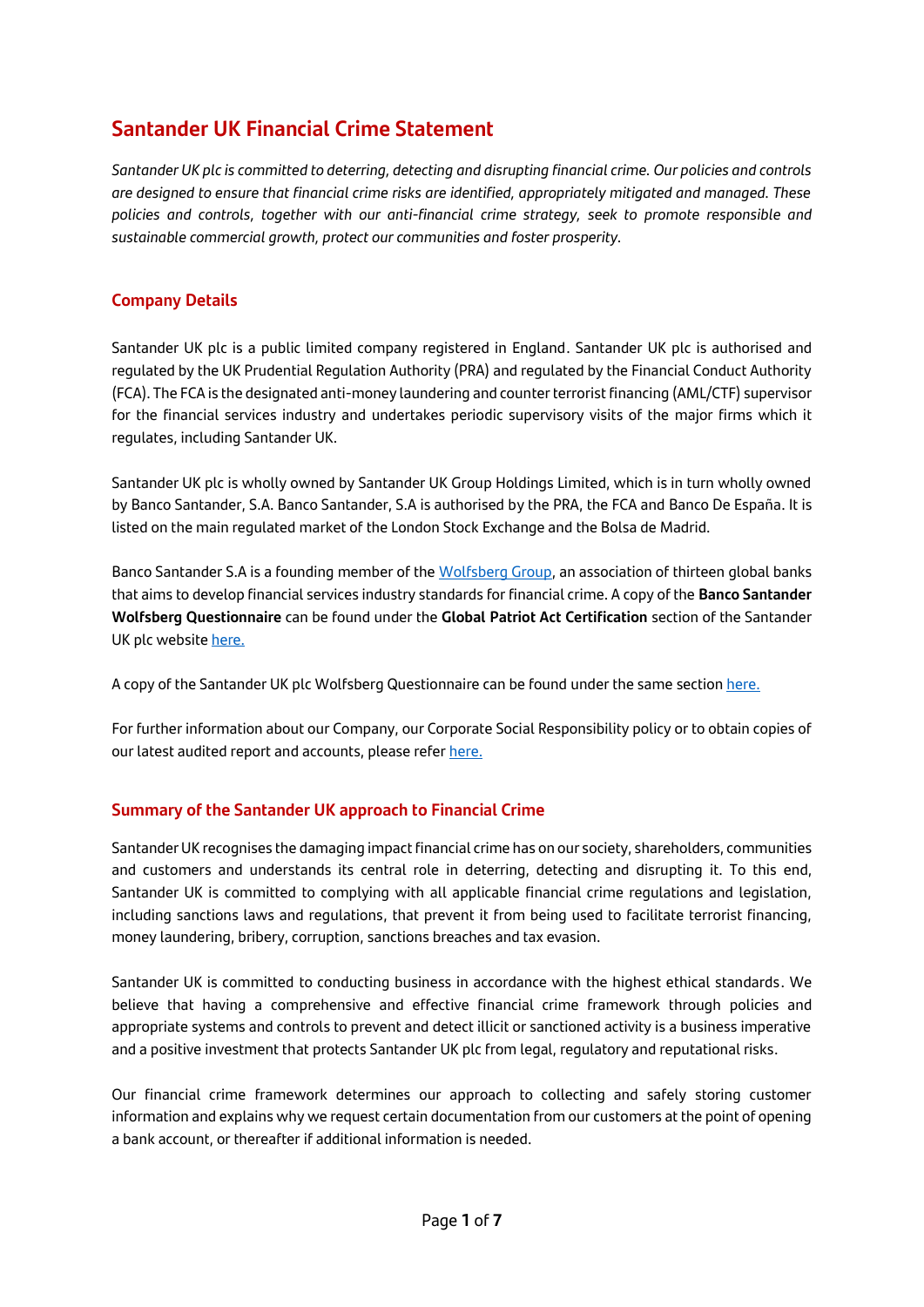# **Santander UK Financial Crime Statement**

*Santander UK plc is committed to deterring, detecting and disrupting financial crime. Our policies and controls are designed to ensure that financial crime risks are identified, appropriately mitigated and managed. These policies and controls, together with our anti-financial crime strategy, seek to promote responsible and sustainable commercial growth, protect our communities and foster prosperity.*

## **Company Details**

Santander UK plc is a public limited company registered in England. Santander UK plc is authorised and regulated by the UK Prudential Regulation Authority (PRA) and regulated by the Financial Conduct Authority (FCA). The FCA is the designated anti-money laundering and counter terrorist financing (AML/CTF) supervisor for the financial services industry and undertakes periodic supervisory visits of the major firms which it regulates, including Santander UK.

Santander UK plc is wholly owned by Santander UK Group Holdings Limited, which is in turn wholly owned by Banco Santander, S.A. Banco Santander, S.A is authorised by the PRA, the FCA and Banco De España. It is listed on the main regulated market of the London Stock Exchange and the Bolsa de Madrid.

Banco Santander S.A is a founding member of the [Wolfsberg Group,](https://www.wolfsberg-principles.com/) an association of thirteen global banks that aims to develop financial services industry standards for financial crime. A copy of the **Banco Santander Wolfsberg Questionnaire** can be found under the **Global Patriot Act Certification** section of the Santander UK plc websit[e here.](https://www.santander.co.uk/about-santander/policy-framework)

A copy of the Santander UK plc Wolfsberg Questionnaire can be found under the same sectio[n here.](http://www.santander.co.uk/uk/about-santander-uk/about-us/policy-framework)

For further information about our Company, our Corporate Social Responsibility policy or to obtain copies of our latest audited report and accounts, please refe[r here.](http://www.santander.co.uk/uk/about-santander-uk/csr)

#### **Summary of the Santander UK approach to Financial Crime**

Santander UK recognises the damaging impact financial crime has on our society, shareholders, communities and customers and understands its central role in deterring, detecting and disrupting it. To this end, Santander UK is committed to complying with all applicable financial crime regulations and legislation, including sanctions laws and regulations, that prevent it from being used to facilitate terrorist financing, money laundering, bribery, corruption, sanctions breaches and tax evasion.

Santander UK is committed to conducting business in accordance with the highest ethical standards. We believe that having a comprehensive and effective financial crime framework through policies and appropriate systems and controls to prevent and detect illicit or sanctioned activity is a business imperative and a positive investment that protects Santander UK plc from legal, regulatory and reputational risks.

Our financial crime framework determines our approach to collecting and safely storing customer information and explains why we request certain documentation from our customers at the point of opening a bank account, or thereafter if additional information is needed.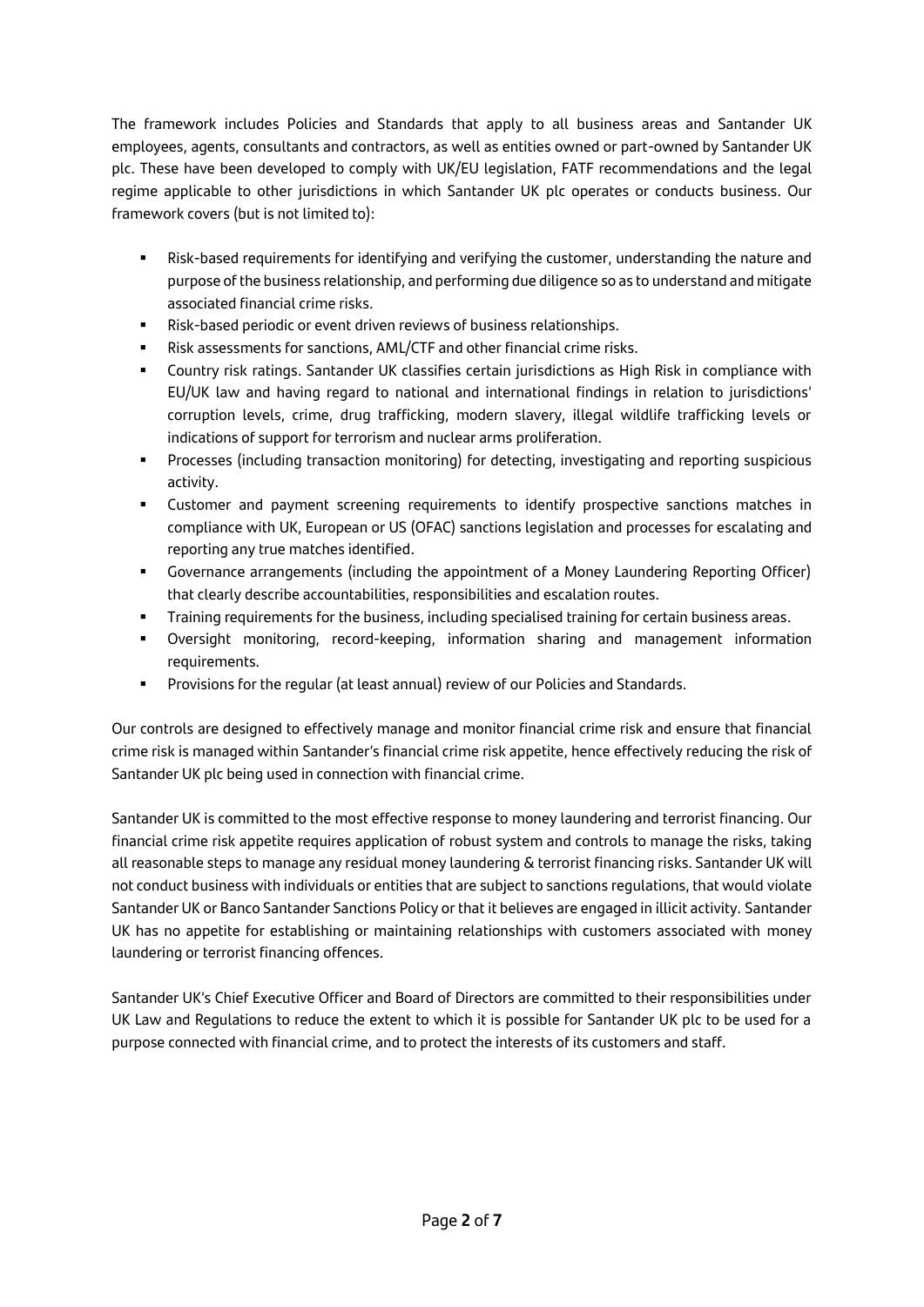The framework includes Policies and Standards that apply to all business areas and Santander UK employees, agents, consultants and contractors, as well as entities owned or part-owned by Santander UK plc. These have been developed to comply with UK/EU legislation, FATF recommendations and the legal regime applicable to other jurisdictions in which Santander UK plc operates or conducts business. Our framework covers (but is not limited to):

- **EXECT ASSESS** Risk-based requirements for identifying and verifying the customer, understanding the nature and purpose of the business relationship, and performing due diligence so as to understand and mitigate associated financial crime risks.
- Risk-based periodic or event driven reviews of business relationships.
- Risk assessments for sanctions, AML/CTF and other financial crime risks.
- Country risk ratings. Santander UK classifies certain jurisdictions as High Risk in compliance with EU/UK law and having regard to national and international findings in relation to jurisdictions' corruption levels, crime, drug trafficking, modern slavery, illegal wildlife trafficking levels or indications of support for terrorism and nuclear arms proliferation.
- **•** Processes (including transaction monitoring) for detecting, investigating and reporting suspicious activity.
- Customer and payment screening requirements to identify prospective sanctions matches in compliance with UK, European or US (OFAC) sanctions legislation and processes for escalating and reporting any true matches identified.
- Governance arrangements (including the appointment of a Money Laundering Reporting Officer) that clearly describe accountabilities, responsibilities and escalation routes.
- Training requirements for the business, including specialised training for certain business areas.
- Oversight monitoring, record-keeping, information sharing and management information requirements.
- Provisions for the regular (at least annual) review of our Policies and Standards.

Our controls are designed to effectively manage and monitor financial crime risk and ensure that financial crime risk is managed within Santander's financial crime risk appetite, hence effectively reducing the risk of Santander UK plc being used in connection with financial crime.

Santander UK is committed to the most effective response to money laundering and terrorist financing. Our financial crime risk appetite requires application of robust system and controls to manage the risks, taking all reasonable steps to manage any residual money laundering & terrorist financing risks. Santander UK will not conduct business with individuals or entities that are subject to sanctions regulations, that would violate Santander UK or Banco Santander Sanctions Policy or that it believes are engaged in illicit activity. Santander UK has no appetite for establishing or maintaining relationships with customers associated with money laundering or terrorist financing offences.

Santander UK's Chief Executive Officer and Board of Directors are committed to their responsibilities under UK Law and Regulations to reduce the extent to which it is possible for Santander UK plc to be used for a purpose connected with financial crime, and to protect the interests of its customers and staff.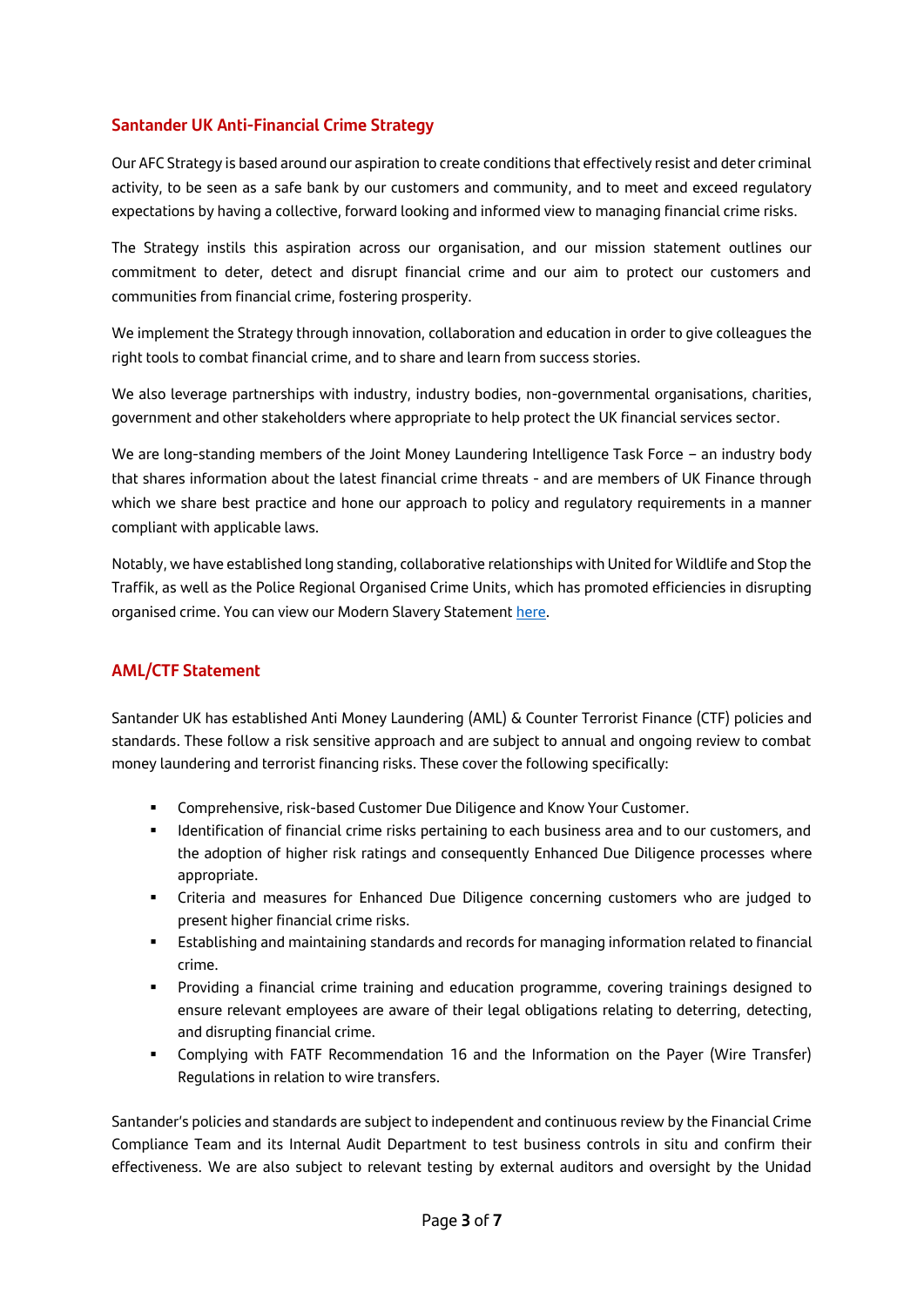## **Santander UK Anti-Financial Crime Strategy**

Our AFC Strategy is based around our aspiration to create conditions that effectively resist and deter criminal activity, to be seen as a safe bank by our customers and community, and to meet and exceed regulatory expectations by having a collective, forward looking and informed view to managing financial crime risks.

The Strategy instils this aspiration across our organisation, and our mission statement outlines our commitment to deter, detect and disrupt financial crime and our aim to protect our customers and communities from financial crime, fostering prosperity.

We implement the Strategy through innovation, collaboration and education in order to give colleagues the right tools to combat financial crime, and to share and learn from success stories.

We also leverage partnerships with industry, industry bodies, non-governmental organisations, charities, government and other stakeholders where appropriate to help protect the UK financial services sector.

We are long-standing members of the Joint Money Laundering Intelligence Task Force – an industry body that shares information about the latest financial crime threats - and are members of UK Finance through which we share best practice and hone our approach to policy and regulatory requirements in a manner compliant with applicable laws.

Notably, we have established long standing, collaborative relationships with United for Wildlife and Stop the Traffik, as well as the Police Regional Organised Crime Units, which has promoted efficiencies in disrupting organised crime. You can view our Modern Slavery Statement [here.](https://www.santander.co.uk/about-santander/sustainability/modern-slavery-statement)

#### **AML/CTF Statement**

Santander UK has established Anti Money Laundering (AML) & Counter Terrorist Finance (CTF) policies and standards. These follow a risk sensitive approach and are subject to annual and ongoing review to combat money laundering and terrorist financing risks. These cover the following specifically:

- Comprehensive, risk-based Customer Due Diligence and Know Your Customer.
- **■** Identification of financial crime risks pertaining to each business area and to our customers, and the adoption of higher risk ratings and consequently Enhanced Due Diligence processes where appropriate.
- Criteria and measures for Enhanced Due Diligence concerning customers who are judged to present higher financial crime risks.
- Establishing and maintaining standards and records for managing information related to financial crime.
- Providing a financial crime training and education programme, covering trainings designed to ensure relevant employees are aware of their legal obligations relating to deterring, detecting, and disrupting financial crime.
- **•** Complying with FATF Recommendation 16 and the Information on the Payer (Wire Transfer) Regulations in relation to wire transfers.

Santander's policies and standards are subject to independent and continuous review by the Financial Crime Compliance Team and its Internal Audit Department to test business controls in situ and confirm their effectiveness. We are also subject to relevant testing by external auditors and oversight by the Unidad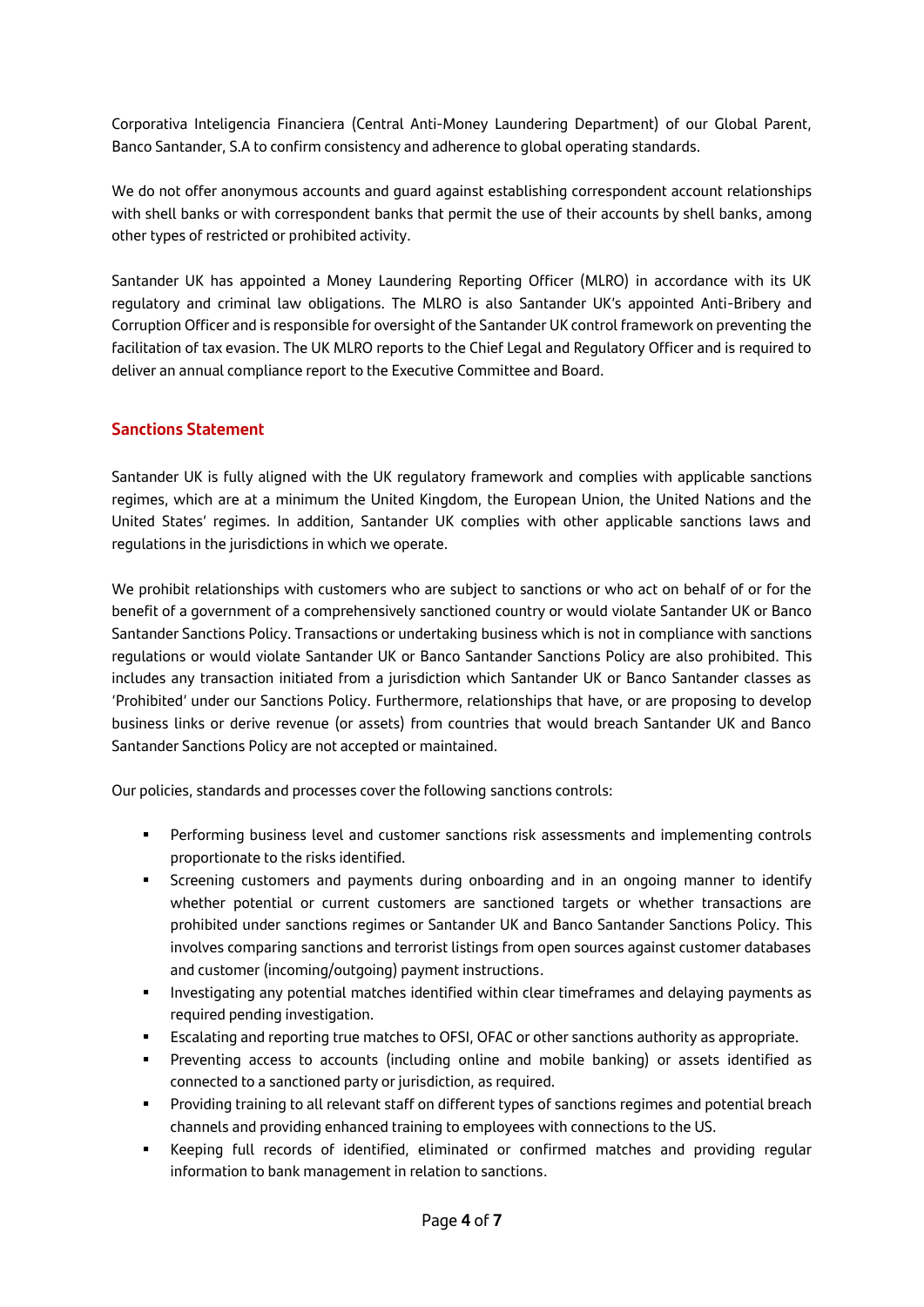Corporativa Inteligencia Financiera (Central Anti-Money Laundering Department) of our Global Parent, Banco Santander, S.A to confirm consistency and adherence to global operating standards.

We do not offer anonymous accounts and quard against establishing correspondent account relationships with shell banks or with correspondent banks that permit the use of their accounts by shell banks, among other types of restricted or prohibited activity.

Santander UK has appointed a Money Laundering Reporting Officer (MLRO) in accordance with its UK regulatory and criminal law obligations. The MLRO is also Santander UK's appointed Anti-Bribery and Corruption Officer and is responsible for oversight of the Santander UK control framework on preventing the facilitation of tax evasion. The UK MLRO reports to the Chief Legal and Regulatory Officer and is required to deliver an annual compliance report to the Executive Committee and Board.

#### **Sanctions Statement**

Santander UK is fully aligned with the UK regulatory framework and complies with applicable sanctions regimes, which are at a minimum the United Kingdom, the European Union, the United Nations and the United States' regimes. In addition, Santander UK complies with other applicable sanctions laws and regulations in the jurisdictions in which we operate.

We prohibit relationships with customers who are subject to sanctions or who act on behalf of or for the benefit of a government of a comprehensively sanctioned country or would violate Santander UK or Banco Santander Sanctions Policy. Transactions or undertaking business which is not in compliance with sanctions regulations or would violate Santander UK or Banco Santander Sanctions Policy are also prohibited. This includes any transaction initiated from a jurisdiction which Santander UK or Banco Santander classes as 'Prohibited' under our Sanctions Policy. Furthermore, relationships that have, or are proposing to develop business links or derive revenue (or assets) from countries that would breach Santander UK and Banco Santander Sanctions Policy are not accepted or maintained.

Our policies, standards and processes cover the following sanctions controls:

- **•** Performing business level and customer sanctions risk assessments and implementing controls proportionate to the risks identified.
- **•** Screening customers and payments during onboarding and in an ongoing manner to identify whether potential or current customers are sanctioned targets or whether transactions are prohibited under sanctions regimes or Santander UK and Banco Santander Sanctions Policy. This involves comparing sanctions and terrorist listings from open sources against customer databases and customer (incoming/outgoing) payment instructions.
- **■** Investigating any potential matches identified within clear timeframes and delaying payments as required pending investigation.
- Escalating and reporting true matches to OFSI, OFAC or other sanctions authority as appropriate.
- Preventing access to accounts (including online and mobile banking) or assets identified as connected to a sanctioned party or jurisdiction, as required.
- **•** Providing training to all relevant staff on different types of sanctions regimes and potential breach channels and providing enhanced training to employees with connections to the US.
- Keeping full records of identified, eliminated or confirmed matches and providing regular information to bank management in relation to sanctions.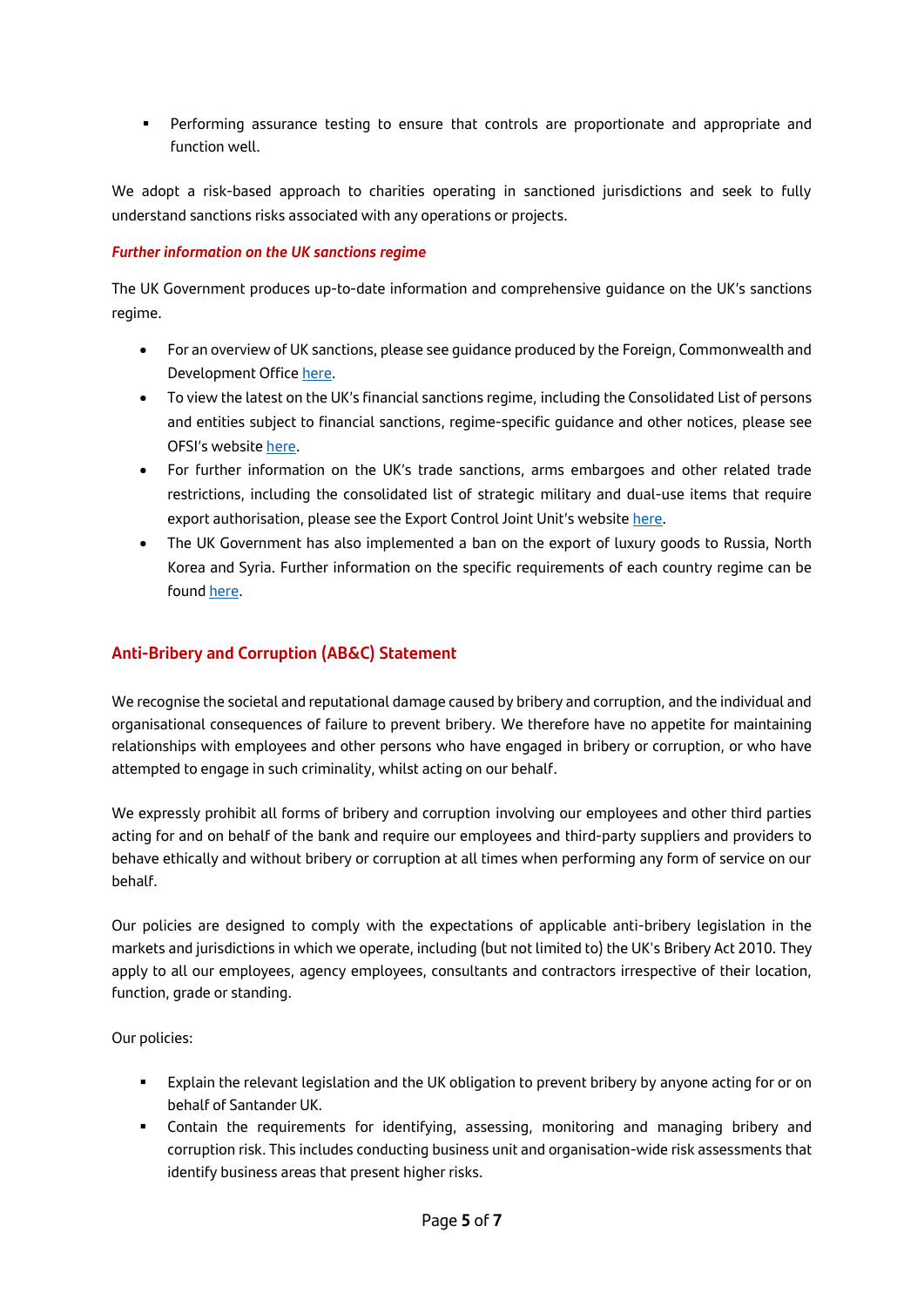**•** Performing assurance testing to ensure that controls are proportionate and appropriate and function well.

We adopt a risk-based approach to charities operating in sanctioned jurisdictions and seek to fully understand sanctions risks associated with any operations or projects.

#### *Further information on the UK sanctions regime*

The UK Government produces up-to-date information and comprehensive guidance on the UK's sanctions regime.

- For an overview of UK sanctions, please see guidance produced by the Foreign, Commonwealth and Development Office [here.](https://www.gov.uk/guidance/uk-sanctions)
- To view the latest on the UK's financial sanctions regime, including the Consolidated List of persons and entities subject to financial sanctions, regime-specific guidance and other notices, please see OFSI's website [here.](https://www.gov.uk/government/organisations/office-of-financial-sanctions-implementation)
- For further information on the UK's trade sanctions, arms embargoes and other related trade restrictions, including the consolidated list of strategic military and dual-use items that require export authorisation, please see the Export Control Joint Unit's website [here.](https://www.gov.uk/government/organisations/export-control-joint-unit)
- The UK Government has also implemented a ban on the export of luxury goods to Russia, North Korea and Syria. Further information on the specific requirements of each country regime can be found [here.](https://www.gov.uk/government/collections/uk-sanctions-regimes-under-the-sanctions-act)

# **Anti-Bribery and Corruption (AB&C) Statement**

We recognise the societal and reputational damage caused by bribery and corruption, and the individual and organisational consequences of failure to prevent bribery. We therefore have no appetite for maintaining relationships with employees and other persons who have engaged in bribery or corruption, or who have attempted to engage in such criminality, whilst acting on our behalf.

We expressly prohibit all forms of bribery and corruption involving our employees and other third parties acting for and on behalf of the bank and require our employees and third-party suppliers and providers to behave ethically and without bribery or corruption at all times when performing any form of service on our behalf.

Our policies are designed to comply with the expectations of applicable anti-bribery legislation in the markets and jurisdictions in which we operate, including (but not limited to) the UK's Bribery Act 2010. They apply to all our employees, agency employees, consultants and contractors irrespective of their location, function, grade or standing.

Our policies:

- **Explain the relevant legislation and the UK obligation to prevent bribery by anyone acting for or on** behalf of Santander UK.
- Contain the requirements for identifying, assessing, monitoring and managing bribery and corruption risk. This includes conducting business unit and organisation-wide risk assessments that identify business areas that present higher risks.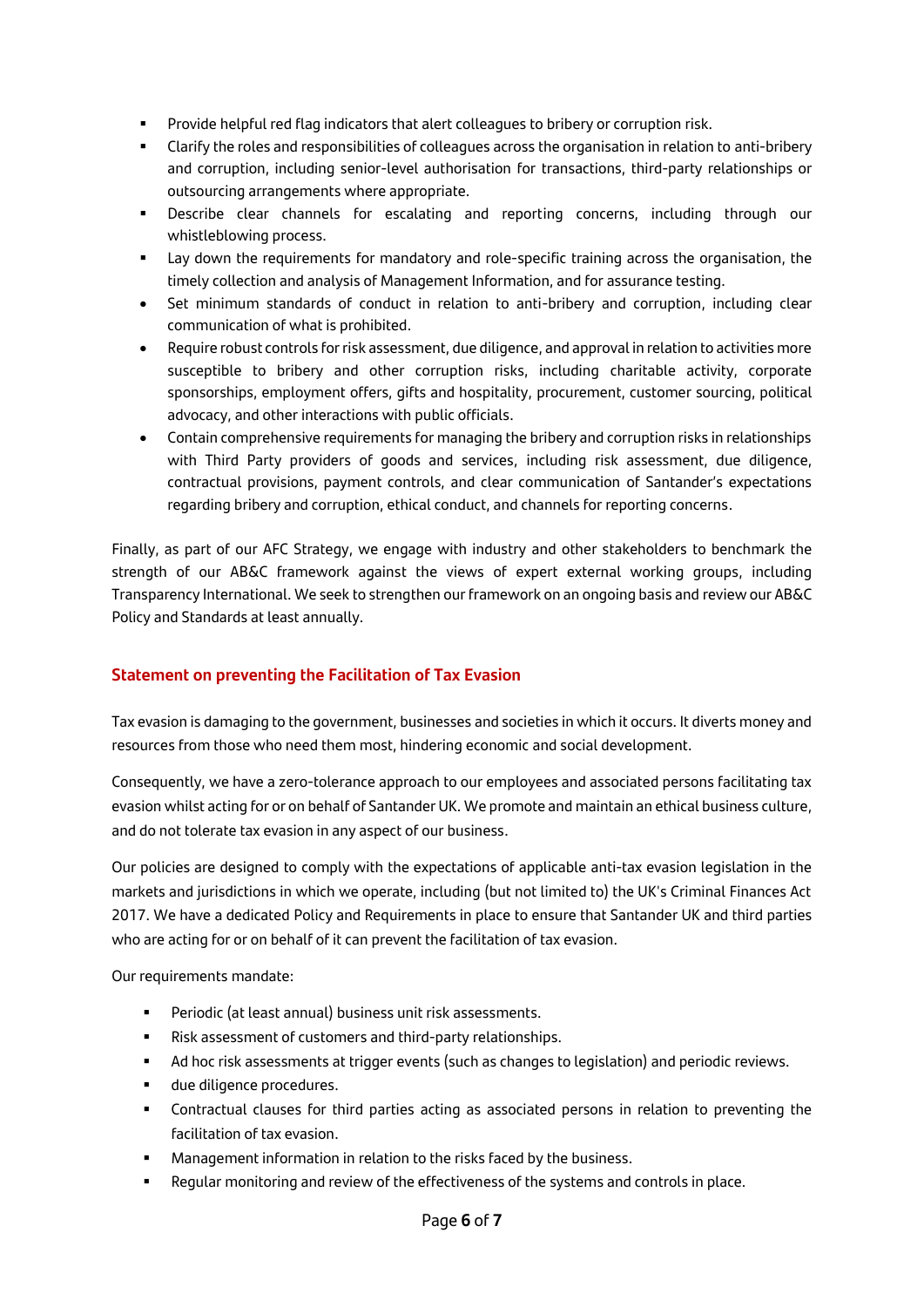- Provide helpful red flag indicators that alert colleagues to bribery or corruption risk.
- Clarify the roles and responsibilities of colleagues across the organisation in relation to anti-bribery and corruption, including senior-level authorisation for transactions, third-party relationships or outsourcing arrangements where appropriate.
- Describe clear channels for escalating and reporting concerns, including through our whistleblowing process.
- Lay down the requirements for mandatory and role-specific training across the organisation, the timely collection and analysis of Management Information, and for assurance testing.
- Set minimum standards of conduct in relation to anti-bribery and corruption, including clear communication of what is prohibited.
- Require robust controls for risk assessment, due diligence, and approval in relation to activities more susceptible to bribery and other corruption risks, including charitable activity, corporate sponsorships, employment offers, gifts and hospitality, procurement, customer sourcing, political advocacy, and other interactions with public officials.
- Contain comprehensive requirements for managing the bribery and corruption risks in relationships with Third Party providers of goods and services, including risk assessment, due diligence, contractual provisions, payment controls, and clear communication of Santander's expectations regarding bribery and corruption, ethical conduct, and channels for reporting concerns.

Finally, as part of our AFC Strategy, we engage with industry and other stakeholders to benchmark the strength of our AB&C framework against the views of expert external working groups, including Transparency International. We seek to strengthen our framework on an ongoing basis and review our AB&C Policy and Standards at least annually.

# **Statement on preventing the Facilitation of Tax Evasion**

Tax evasion is damaging to the government, businesses and societies in which it occurs. It diverts money and resources from those who need them most, hindering economic and social development.

Consequently, we have a zero-tolerance approach to our employees and associated persons facilitating tax evasion whilst acting for or on behalf of Santander UK. We promote and maintain an ethical business culture, and do not tolerate tax evasion in any aspect of our business.

Our policies are designed to comply with the expectations of applicable anti-tax evasion legislation in the markets and jurisdictions in which we operate, including (but not limited to) the UK's Criminal Finances Act 2017. We have a dedicated Policy and Requirements in place to ensure that Santander UK and third parties who are acting for or on behalf of it can prevent the facilitation of tax evasion.

Our requirements mandate:

- Periodic (at least annual) business unit risk assessments.
- Risk assessment of customers and third-party relationships.
- Ad hoc risk assessments at trigger events (such as changes to legislation) and periodic reviews.
- due diligence procedures.
- Contractual clauses for third parties acting as associated persons in relation to preventing the facilitation of tax evasion.
- Management information in relation to the risks faced by the business.
- Regular monitoring and review of the effectiveness of the systems and controls in place.